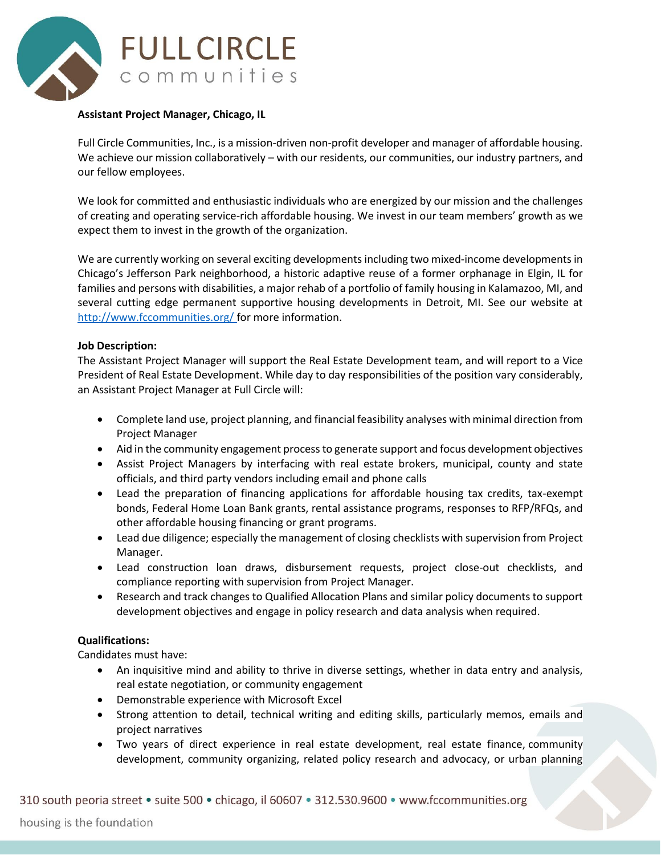

## **Assistant Project Manager, Chicago, IL**

Full Circle Communities, Inc., is a mission-driven non-profit developer and manager of affordable housing. We achieve our mission collaboratively – with our residents, our communities, our industry partners, and our fellow employees.

We look for committed and enthusiastic individuals who are energized by our mission and the challenges of creating and operating service-rich affordable housing. We invest in our team members' growth as we expect them to invest in the growth of the organization.

We are currently working on several exciting developments including two mixed-income developments in Chicago's Jefferson Park neighborhood, a historic adaptive reuse of a former orphanage in Elgin, IL for families and persons with disabilities, a major rehab of a portfolio of family housing in Kalamazoo, MI, and several cutting edge permanent supportive housing developments in Detroit, MI. See our website at <http://www.fccommunities.org/> for more information.

## **Job Description:**

The Assistant Project Manager will support the Real Estate Development team, and will report to a Vice President of Real Estate Development. While day to day responsibilities of the position vary considerably, an Assistant Project Manager at Full Circle will:

- Complete land use, project planning, and financial feasibility analyses with minimal direction from Project Manager
- Aid in the community engagement process to generate support and focus development objectives
- Assist Project Managers by interfacing with real estate brokers, municipal, county and state officials, and third party vendors including email and phone calls
- Lead the preparation of financing applications for affordable housing tax credits, tax-exempt bonds, Federal Home Loan Bank grants, rental assistance programs, responses to RFP/RFQs, and other affordable housing financing or grant programs.
- Lead due diligence; especially the management of closing checklists with supervision from Project Manager.
- Lead construction loan draws, disbursement requests, project close-out checklists, and compliance reporting with supervision from Project Manager.
- Research and track changes to Qualified Allocation Plans and similar policy documents to support development objectives and engage in policy research and data analysis when required.

## **Qualifications:**

Candidates must have:

- An inquisitive mind and ability to thrive in diverse settings, whether in data entry and analysis, real estate negotiation, or community engagement
- Demonstrable experience with Microsoft Excel
- Strong attention to detail, technical writing and editing skills, particularly memos, emails and project narratives
- Two years of direct experience in real estate development, real estate finance, community development, community organizing, related policy research and advocacy, or urban planning

310 south peoria street • suite 500 • chicago, il 60607 • 312.530.9600 • www.fccommunities.org